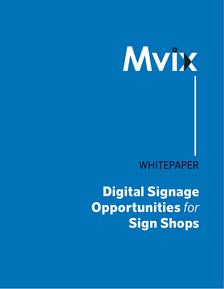## **WHITEPAPER**

Digital Signage Opportunities *for* Sign Shops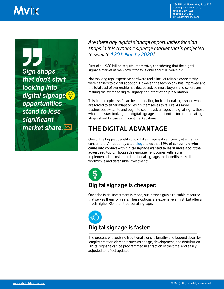23475 Rock Haven Way, Suite 125 Sterling, VA 20166 (USA) (P):866.310.4923 (F):866.614.3880 mvixdigitalsignage.com

**Sign shops** that don't start looking into digital signage<sup></sup> opportunities stand to lose significant market share.

*Are there any digital signage opportunities for sign shops in this dynamic signage market that's projected to swell to [\\$20 billion by 2020?](http://www.grandviewresearch.com/industry-analysis/digital-signage-market)*

First of all, \$20 billion is quite impressive, considering that the digital signage market as we know it today is only about 10 years old.

Not too long ago, expensive hardware and a lack of reliable connectivity were barriers to digital adoption. However, the technology has improved and the total cost of ownership has decreased, so more buyers and sellers are making the switch to digital signage for information presentation.

This technological shift can be intimidating for traditional sign shops who are forced to either adapt or resign themselves to failure. As more businesses switch to and begin to see the advantages of digital signs, those who don't start looking into digital signage opportunities for traditional sign shops stand to lose significant market share.

### **THE DIGITAL ADVANTAGE**

One of the biggest benefits of digital signage is its efficiency at engaging consumers. A frequently cited **blog** shows that **59% of consumers who came into contact with digital signage wanted to learn more about the advertised topic**. Though this engagement comes with higher implementation costs than traditional signage, the benefits make it a worthwhile and defensible investment:



#### **Digital signage is cheaper:**

Once the initial investment is made, businesses gain a reusable resource that serves them for years. These options are expensive at first, but offer a much higher ROI than traditional signage.



The process of acquiring traditional signs is lengthy and bogged down by lengthy creation elements such as design, development, and distribution. Digital signage can be programmed in a fraction of the time, and easily adjusted to reflect updates.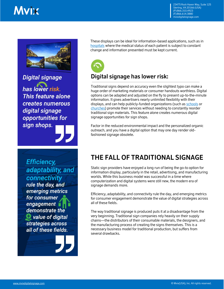

**Digital signage** 

has lower risk. This feature alone creates numerous digital signage opportunities for sign shops.

**Efficiency,** adaptability, and connectivity

rule the day, and emerging metrics for consumer engagement | demonstrate the value of digital strategies across all of these fields. These displays can be ideal for information-based applications, such as in [hospitals](http://mvixdigitalsignage.com/markets/healthcare/) where the medical status of each patient is subject to constant change and information presented must be kept current.



#### **Digital signage has lower risk:**

Traditional signs depend on accuracy even the slightest typo can make a huge order of marketing materials or consumer handouts worthless. Digital options can be adapted and adjusted on the fly to present up-to-the-minute information. It gives advertisers nearly unlimited flexibility with their displays, and can help publicly-funded organizations (such a[s schools](http://mvixdigitalsignage.com/markets/education/) or [churches\)](http://mvixdigitalsignage.com/markets/religious-venues/) promote their services without needing to constantly reorder traditional sign materials. This feature alone creates numerous digital signage opportunities for sign shops.

Factor in the reduced environmental impact and the personalized organic outreach, and you have a digital option that may one day render oldfashioned signage obsolete.

## **THE FALL OF TRADITIONAL SIGNAGE**

Static sign providers have enjoyed a long run of being the go-to option for information display, particularly in the retail, advertising, and manufacturing worlds. While this business model was successful in a time where computerization and digital systems were still new, the modern era of signage demands more.

Efficiency, adaptability, and connectivity rule the day, and emerging metrics for consumer engagement demonstrate the value of digital strategies across all of these fields.

The way traditional signage is produced puts it at a disadvantage from the very beginning. Traditional sign companies rely heavily on their supply chains—the distributors of their consumable materials, the designers, and the manufacturing process of creating the signs themselves. This is a necessary business model for traditional production, but suffers from several drawbacks.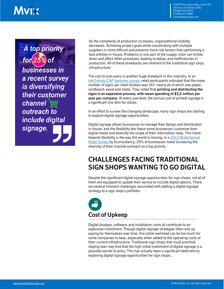23475 Rock Haven Way, Suite 125 Sterling, VA 20166 (USA) (P):866.310.4923 (F):866.614.3880 mvixdigitalsignage.com

A top priority for **businesses in** a recent survey is diversifying their customer channel outreach to include digital signage.

As the complexity of production increases, organizational visibility decreases. Achieving project goals while coordinating with multiple suppliers is more difficult and presents more risk factors than performing a task entirely in-house. Problems in one part of the supply chain can trickle down and affect other processes, leading to delays and inefficiencies in production. All of these drawbacks are inherent to the traditional sign shop infrastructure.

The cost to end-users is another huge drawback in this industry. In an [InfoTrends/CAP Ventures survey,](http://www.infotrends.com/public/Content/INFOSTATS/Articles/2005/03.01.2005.html) retail participants indicated that the mean number of signs per retail location was 167, nearly all of which was paper, cardboard, wood and metal. They noted that **printing and distributing the signs is an expensive process, with mean spending of \$3.2 million per year per company**. At every size level, the annual cost of printed signage is a significant line item for stores.

In an effort to survive the changing landscape, many sign shops are starting to explore digital signage opportunities.

Digital signage allows businesses to manage their design and distribution in-house, and the flexibility lets these same businesses customize their digital media and diversify the scope of their information relay. This trend towards flexibility is the way the world is moving. In a [2012 Multichannel](https://econsultancy.com/reports/the-multichannel-retail-survey/)  [Retail Survey](https://econsultancy.com/reports/the-multichannel-retail-survey/) by Econsultancy, 25% of businesses listed increasing the diversity of their channel outreach as a top priority.

#### **CHALLENGES FACING TRADITIONAL SIGN SHOPS WANTING TO GO DIGITAL**

Despite the significant digital signage opportunities for sign shops, not all of them are equipped to update their service to include digital options. There are several inherent challenges associated with adding a digital signage strategy to a sign shop's portfolio:



Digital displays, software, and installation costs all contribute to an expensive investment. Though digital signage strategies often end up paying for themselves over time, this initial overhead can be too much for some companies to bear, especially when added to the operating costs of their current infrastructure. Traditional sign shops that must prioritize staying lean may find that the high initial investment of digital signage is a possible barrier to entry. This has actually been a significant deterrent to exploring digital signage opportunities for sign shops.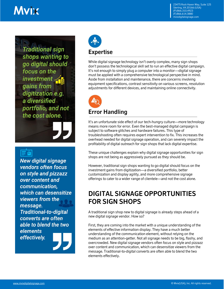**Traditional sign** shops wanting to go digital should focus on the investment gains from digitization e.g. a diversified portfolio, and not the cost alone.

**New digital signage** vendors often focus on style and pizzazz over content and communication, which can desensitize viewers from the message. **Traditional-to-digital** converts are often able to blend the two **elements** effectively.



While digital signage technology isn't overly complex, many sign shops don't possess the technological skill set to run an effective digital campaign. It's not enough to simply plug a computer into a monitor—digital signage must be applied with a comprehensive technological perspective in mind. Aside from installation and maintenance, there are concerns involving equipment specifications, contrast sensitivity on various screens, resolution adjustments for different devices, and maintaining online connectivity.



#### **Error Handling**

It's an unfortunate side effect of our tech-hungry culture—more technology means more room for error. Even the best-managed digital campaign is subject to software glitches and hardware failures. This type of troubleshooting often requires expert intervention to fix. This increases the overhead needed for digital signage operation, and can severely impact the profitability of digital outreach for sign shops that lack digital expertise.

These unique challenges explain why digital signage opportunities for sign shops are not being as aggressively pursued as they should be.

However, traditional sign shops wanting to go digital should focus on the investment gains from digitization—a diversified portfolio, better customization and display agility, and more comprehensive signage offerings to cater to a wider range of clientele—and not the cost alone.

#### **DIGITAL SIGNAGE OPPORTUNITIES FOR SIGN SHOPS**

A traditional sign shop new to digital signage is already steps ahead of a new digital signage vendor. How so?

First, they are coming into the market with a unique understanding of the elements of effective information display. They have a much better understanding of the communication element, without relying on the medium as an attention-getter. Not all signage needs to be big, flashy, and overcrowded. New digital signage vendors often focus on style and pizzazz over content and communication, which can desensitize viewers from the message. Traditional-to-digital converts are often able to blend the two elements effectively.